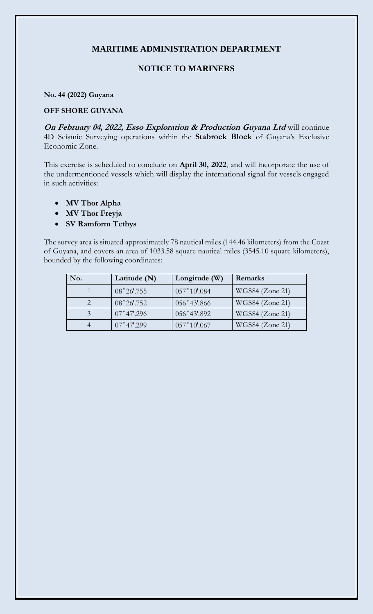## **MARITIME ADMINISTRATION DEPARTMENT**

## **NOTICE TO MARINERS**

## **No. 44 (2022) Guyana**

## **OFF SHORE GUYANA**

**On February 04, 2022, Esso Exploration & Production Guyana Ltd** will continue 4D Seismic Surveying operations within the **Stabroek Block** of Guyana's Exclusive Economic Zone.

This exercise is scheduled to conclude on **April 30, 2022**, and will incorporate the use of the undermentioned vessels which will display the international signal for vessels engaged in such activities:

- **MV Thor Alpha**
- **MV Thor Freyja**
- **SV Ramform Tethys**

The survey area is situated approximately 78 nautical miles (144.46 kilometers) from the Coast of Guyana, and covers an area of 1033.58 square nautical miles (3545.10 square kilometers), bounded by the following coordinates:

| No. | Latitude $(N)$       | Longitude (W)  | Remarks         |
|-----|----------------------|----------------|-----------------|
|     | 08°26'.755           | 057°10'084     | WGS84 (Zone 21) |
|     | 08°26'.752           | $056°43'$ .866 | WGS84 (Zone 21) |
| 3   | $07^{\circ}47'$ .296 | 056°43'.892    | WGS84 (Zone 21) |
| 4   | $07^{\circ}47'.299$  | 057°10'0.067   | WGS84 (Zone 21) |